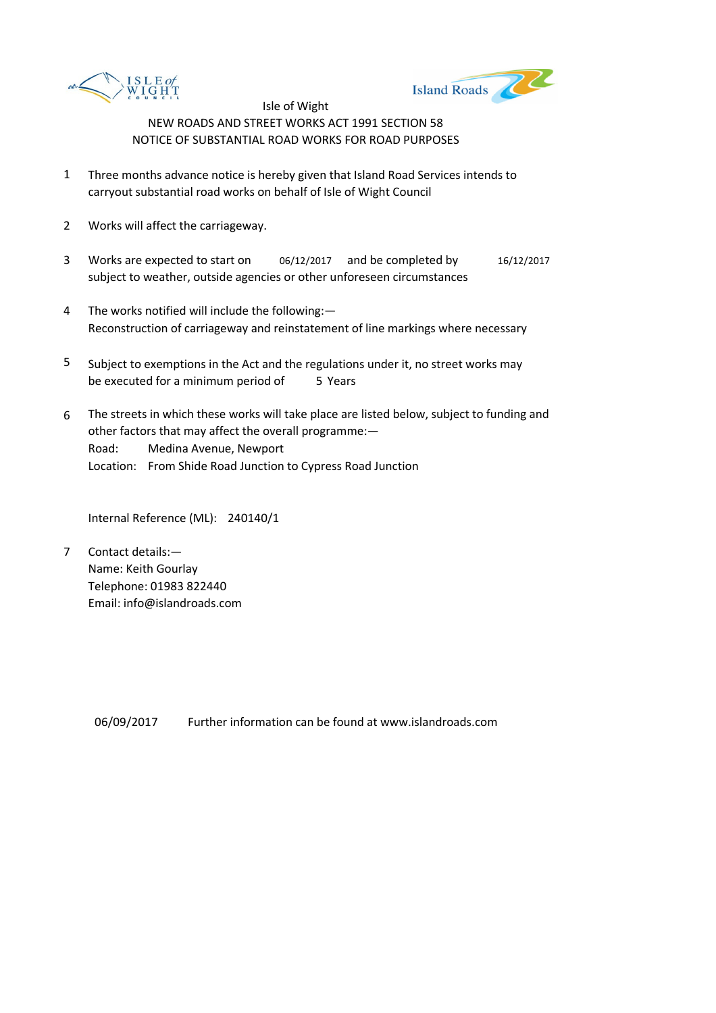



- 1 Three months advance notice is hereby given that Island Road Services intends to carryout substantial road works on behalf of Isle of Wight Council
- 2 Works will affect the carriageway.
- 3 Works are expected to start on 06/12/2017 and be completed by 16/12/2017 subject to weather, outside agencies or other unforeseen circumstances
- 4 The works notified will include the following:— Reconstruction of carriageway and reinstatement of line markings where necessary
- 5 be executed for a minimum period of 5 Years Subject to exemptions in the Act and the regulations under it, no street works may
- 6 Road: Medina Avenue, Newport Location: From Shide Road Junction to Cypress Road Junction The streets in which these works will take place are listed below, subject to funding and other factors that may affect the overall programme:—

Internal Reference (ML): 240140/1

7 Contact details:— Name: Keith Gourlay Telephone: 01983 822440 Email: info@islandroads.com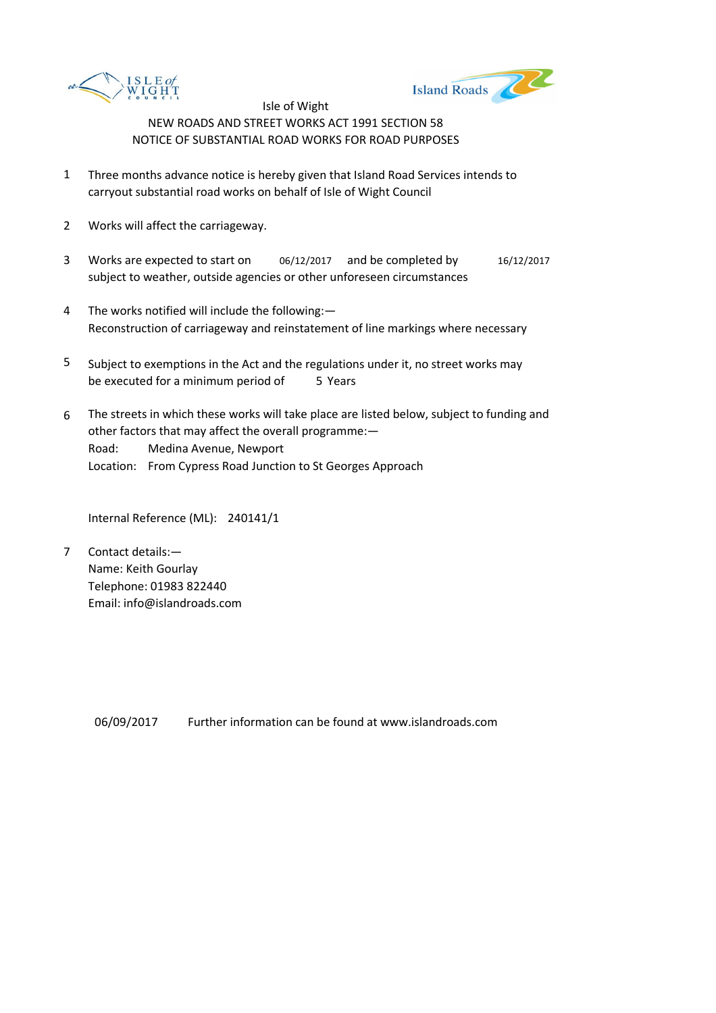



- 1 Three months advance notice is hereby given that Island Road Services intends to carryout substantial road works on behalf of Isle of Wight Council
- 2 Works will affect the carriageway.
- 3 Works are expected to start on 06/12/2017 and be completed by 16/12/2017 subject to weather, outside agencies or other unforeseen circumstances
- 4 The works notified will include the following:— Reconstruction of carriageway and reinstatement of line markings where necessary
- 5 be executed for a minimum period of 5 Years Subject to exemptions in the Act and the regulations under it, no street works may
- 6 Road: Medina Avenue, Newport Location: From Cypress Road Junction to St Georges Approach The streets in which these works will take place are listed below, subject to funding and other factors that may affect the overall programme:—

Internal Reference (ML): 240141/1

7 Contact details:— Name: Keith Gourlay Telephone: 01983 822440 Email: info@islandroads.com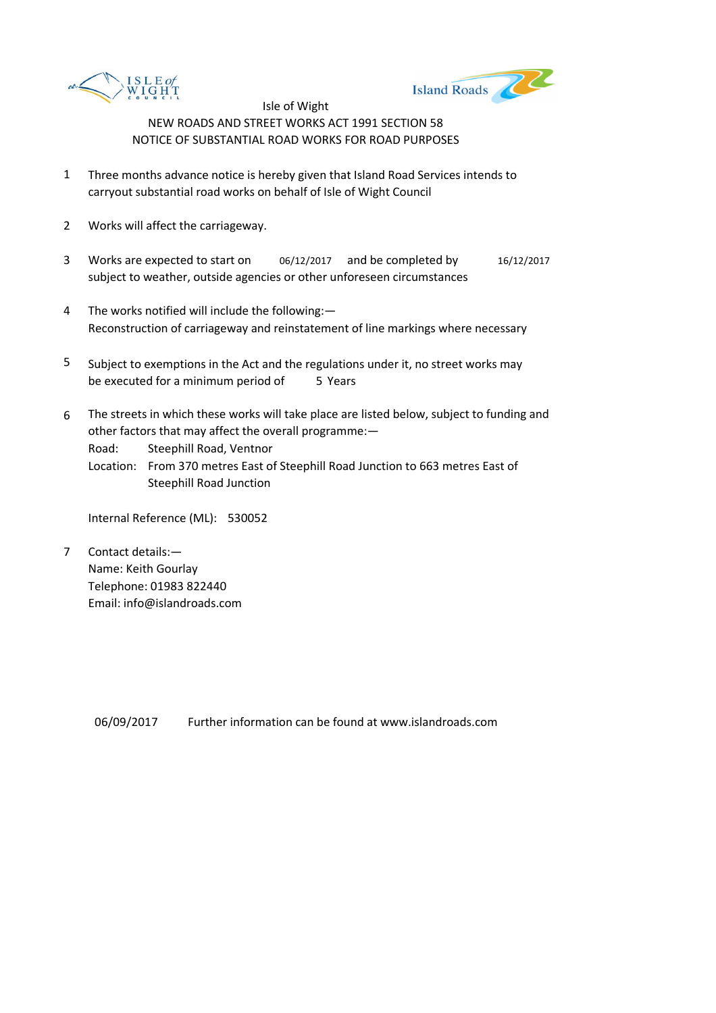



- 1 Three months advance notice is hereby given that Island Road Services intends to carryout substantial road works on behalf of Isle of Wight Council
- 2 Works will affect the carriageway.
- 3 Works are expected to start on 06/12/2017 and be completed by 16/12/2017 subject to weather, outside agencies or other unforeseen circumstances
- 4 The works notified will include the following:— Reconstruction of carriageway and reinstatement of line markings where necessary
- 5 be executed for a minimum period of 5 Years Subject to exemptions in the Act and the regulations under it, no street works may
- 6 The streets in which these works will take place are listed below, subject to funding and other factors that may affect the overall programme:—

Road: Steephill Road, Ventnor

Location: From 370 metres East of Steephill Road Junction to 663 metres East of Steephill Road Junction

Internal Reference (ML): 530052

7 Contact details:— Name: Keith Gourlay Telephone: 01983 822440 Email: info@islandroads.com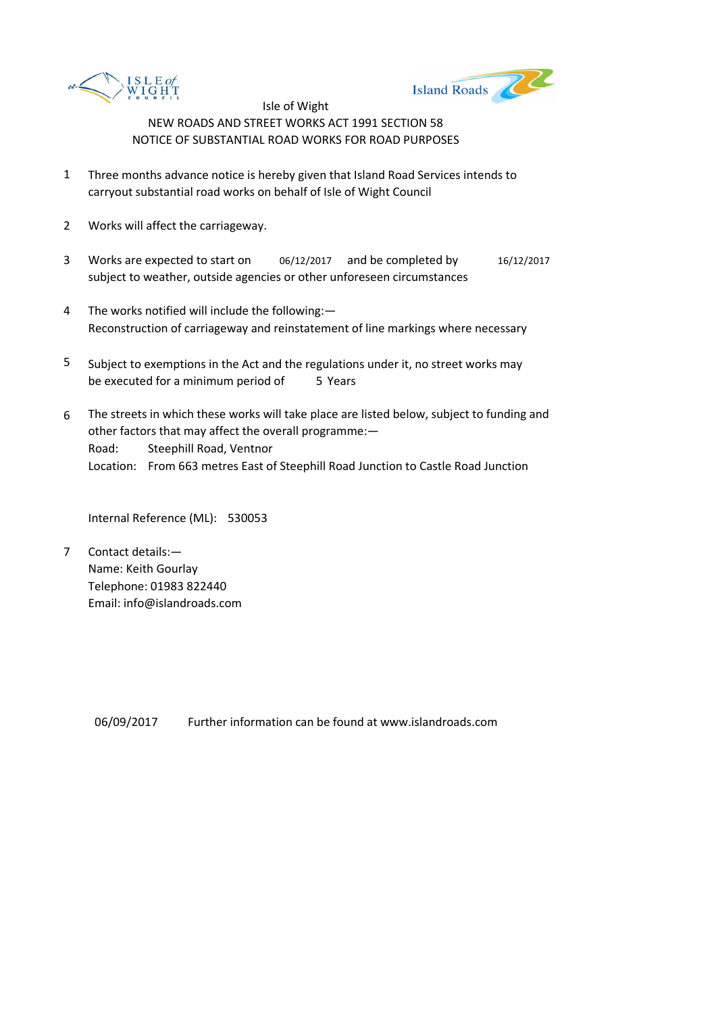



- 1 Three months advance notice is hereby given that Island Road Services intends to carryout substantial road works on behalf of Isle of Wight Council
- 2 Works will affect the carriageway.
- 3 Works are expected to start on 06/12/2017 and be completed by 16/12/2017 subject to weather, outside agencies or other unforeseen circumstances
- 4 The works notified will include the following:— Reconstruction of carriageway and reinstatement of line markings where necessary
- 5 be executed for a minimum period of 5 Years Subject to exemptions in the Act and the regulations under it, no street works may
- 6 Road: Steephill Road, Ventnor Location: From 663 metres East of Steephill Road Junction to Castle Road Junction The streets in which these works will take place are listed below, subject to funding and other factors that may affect the overall programme:—

Internal Reference (ML): 530053

7 Contact details:— Name: Keith Gourlay Telephone: 01983 822440 Email: info@islandroads.com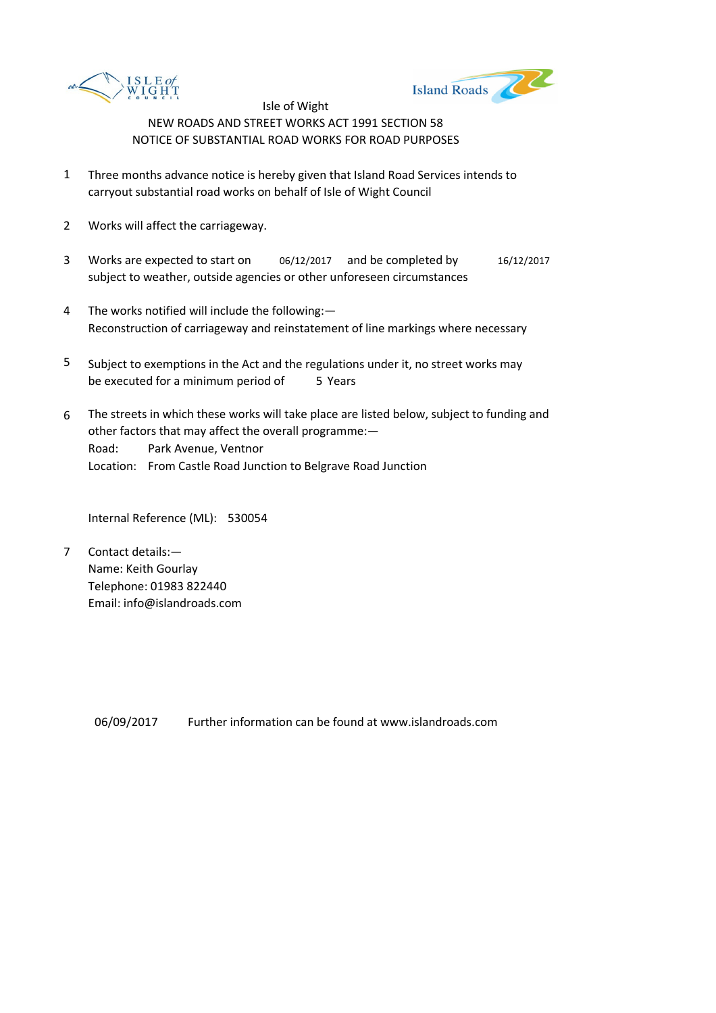



- 1 Three months advance notice is hereby given that Island Road Services intends to carryout substantial road works on behalf of Isle of Wight Council
- 2 Works will affect the carriageway.
- 3 Works are expected to start on 06/12/2017 and be completed by 16/12/2017 subject to weather, outside agencies or other unforeseen circumstances
- 4 The works notified will include the following:— Reconstruction of carriageway and reinstatement of line markings where necessary
- 5 be executed for a minimum period of 5 Years Subject to exemptions in the Act and the regulations under it, no street works may
- 6 Road: Park Avenue, Ventnor Location: From Castle Road Junction to Belgrave Road Junction The streets in which these works will take place are listed below, subject to funding and other factors that may affect the overall programme:—

Internal Reference (ML): 530054

7 Contact details:— Name: Keith Gourlay Telephone: 01983 822440 Email: info@islandroads.com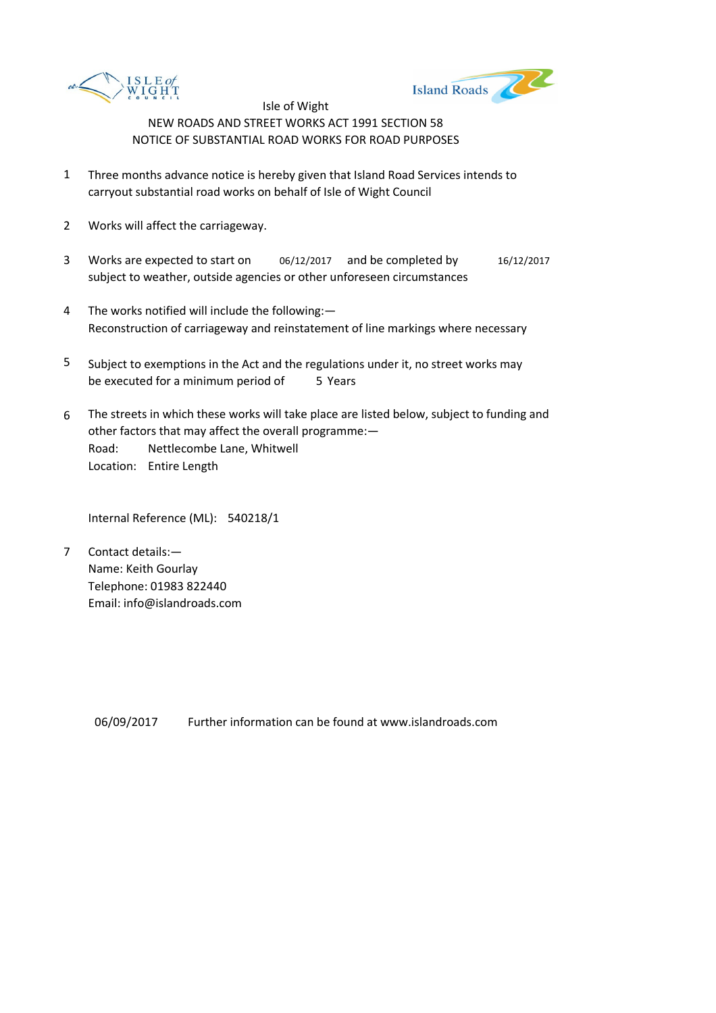



- 1 Three months advance notice is hereby given that Island Road Services intends to carryout substantial road works on behalf of Isle of Wight Council
- 2 Works will affect the carriageway.
- 3 Works are expected to start on 06/12/2017 and be completed by 16/12/2017 subject to weather, outside agencies or other unforeseen circumstances
- 4 The works notified will include the following:— Reconstruction of carriageway and reinstatement of line markings where necessary
- 5 be executed for a minimum period of 5 Years Subject to exemptions in the Act and the regulations under it, no street works may
- 6 Road: Nettlecombe Lane, Whitwell Location: Entire Length The streets in which these works will take place are listed below, subject to funding and other factors that may affect the overall programme:—

Internal Reference (ML): 540218/1

7 Contact details:— Name: Keith Gourlay Telephone: 01983 822440 Email: info@islandroads.com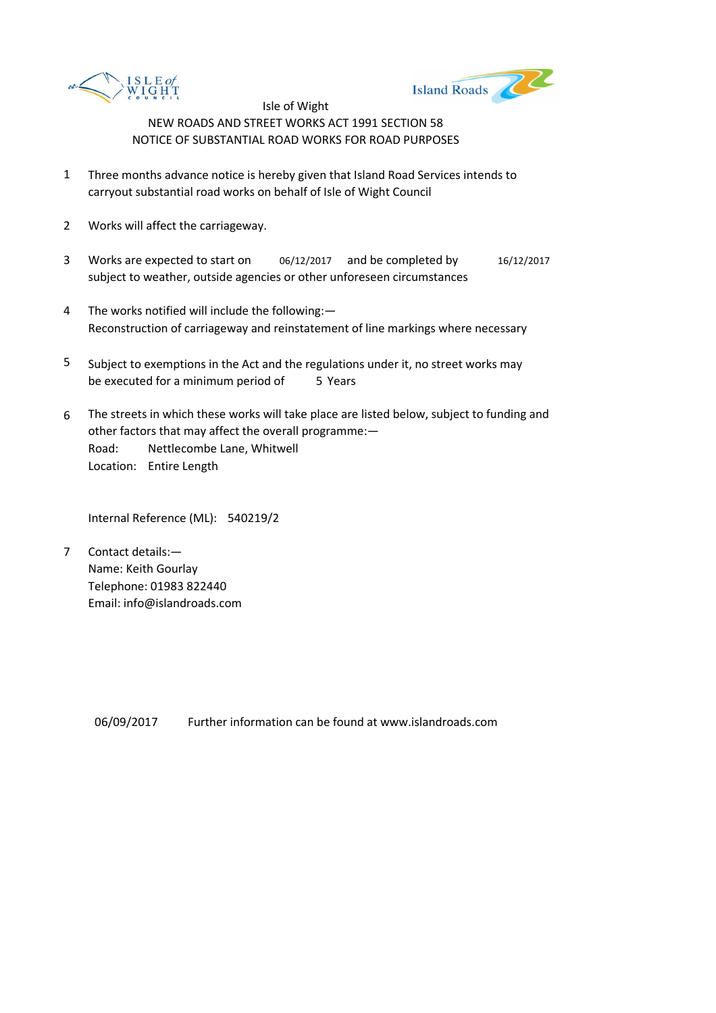



- 1 Three months advance notice is hereby given that Island Road Services intends to carryout substantial road works on behalf of Isle of Wight Council
- 2 Works will affect the carriageway.
- 3 Works are expected to start on 06/12/2017 and be completed by 16/12/2017 subject to weather, outside agencies or other unforeseen circumstances
- 4 The works notified will include the following:— Reconstruction of carriageway and reinstatement of line markings where necessary
- 5 be executed for a minimum period of 5 Years Subject to exemptions in the Act and the regulations under it, no street works may
- 6 Road: Nettlecombe Lane, Whitwell Location: Entire Length The streets in which these works will take place are listed below, subject to funding and other factors that may affect the overall programme:—

Internal Reference (ML): 540219/2

7 Contact details:— Name: Keith Gourlay Telephone: 01983 822440 Email: info@islandroads.com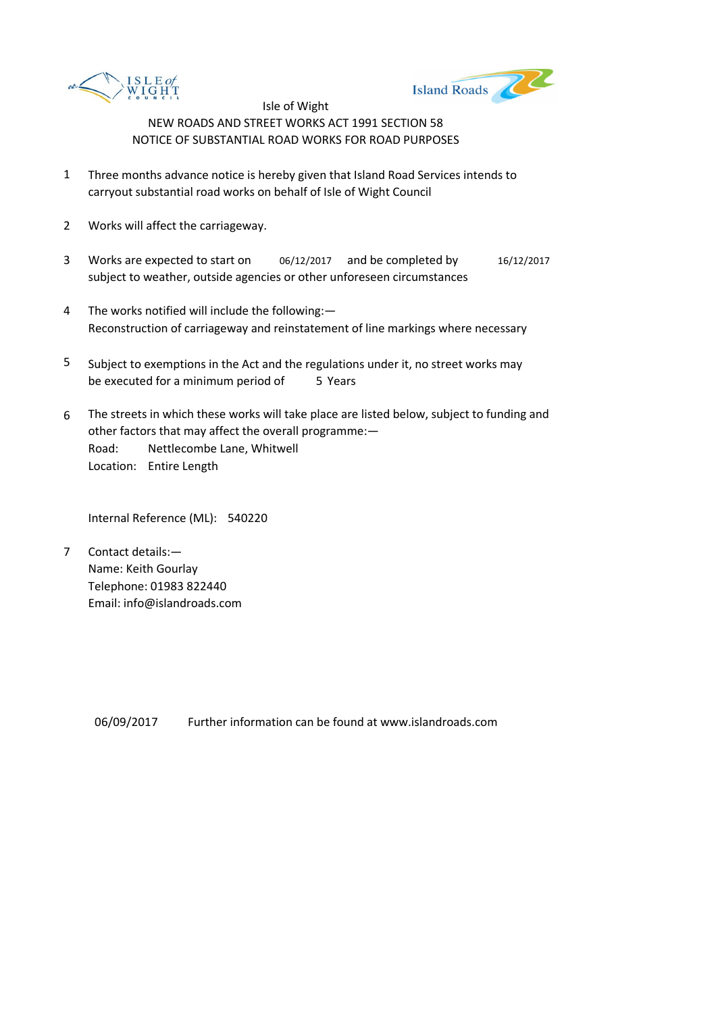



- 1 Three months advance notice is hereby given that Island Road Services intends to carryout substantial road works on behalf of Isle of Wight Council
- 2 Works will affect the carriageway.
- 3 Works are expected to start on 06/12/2017 and be completed by 16/12/2017 subject to weather, outside agencies or other unforeseen circumstances
- 4 The works notified will include the following:— Reconstruction of carriageway and reinstatement of line markings where necessary
- 5 be executed for a minimum period of 5 Years Subject to exemptions in the Act and the regulations under it, no street works may
- 6 Road: Nettlecombe Lane, Whitwell Location: Entire Length The streets in which these works will take place are listed below, subject to funding and other factors that may affect the overall programme:—

Internal Reference (ML): 540220

7 Contact details:— Name: Keith Gourlay Telephone: 01983 822440 Email: info@islandroads.com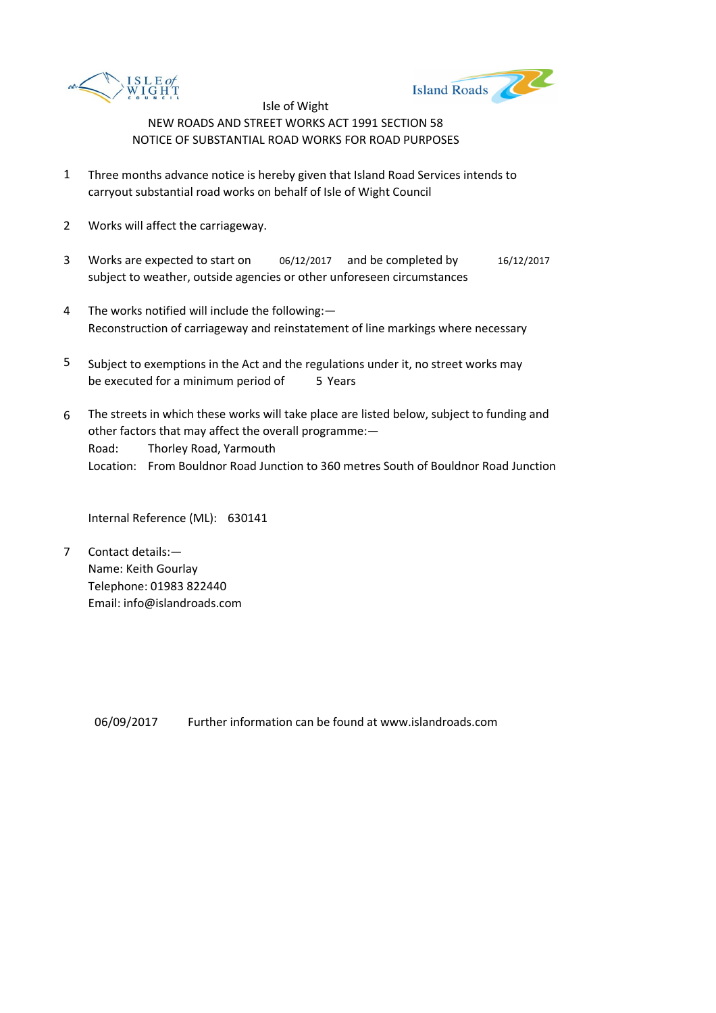



- 1 Three months advance notice is hereby given that Island Road Services intends to carryout substantial road works on behalf of Isle of Wight Council
- 2 Works will affect the carriageway.
- 3 Works are expected to start on 06/12/2017 and be completed by 16/12/2017 subject to weather, outside agencies or other unforeseen circumstances
- 4 The works notified will include the following:— Reconstruction of carriageway and reinstatement of line markings where necessary
- 5 be executed for a minimum period of 5 Years Subject to exemptions in the Act and the regulations under it, no street works may
- 6 Road: Thorley Road, Yarmouth Location: From Bouldnor Road Junction to 360 metres South of Bouldnor Road Junction The streets in which these works will take place are listed below, subject to funding and other factors that may affect the overall programme:—

Internal Reference (ML): 630141

7 Contact details:— Name: Keith Gourlay Telephone: 01983 822440 Email: info@islandroads.com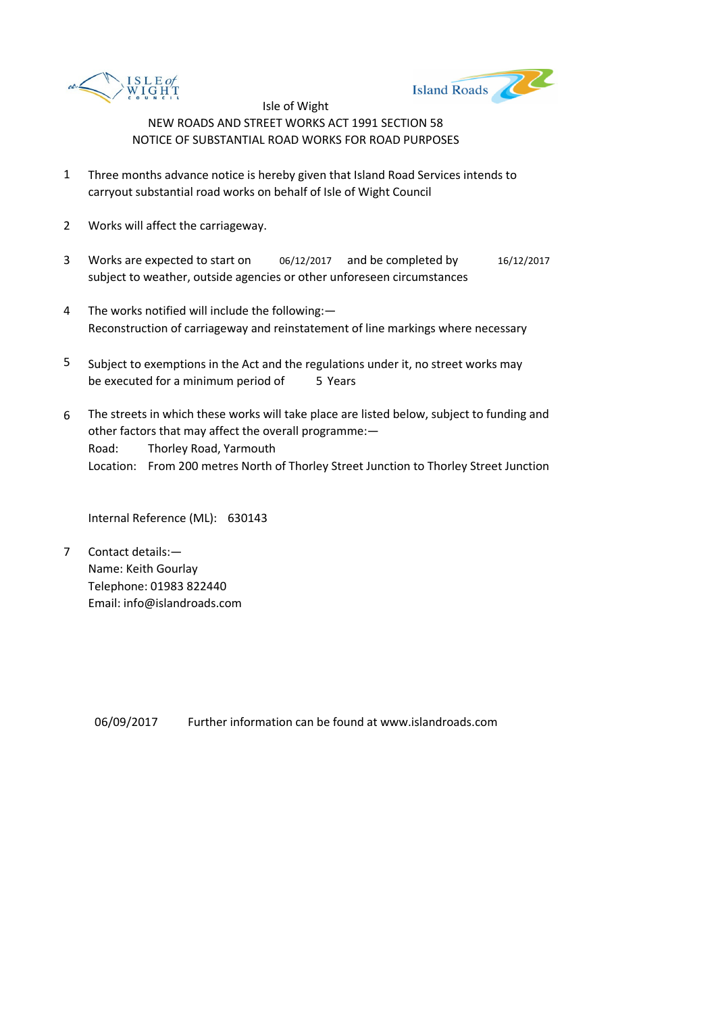



- 1 Three months advance notice is hereby given that Island Road Services intends to carryout substantial road works on behalf of Isle of Wight Council
- 2 Works will affect the carriageway.
- 3 Works are expected to start on 06/12/2017 and be completed by 16/12/2017 subject to weather, outside agencies or other unforeseen circumstances
- 4 The works notified will include the following:— Reconstruction of carriageway and reinstatement of line markings where necessary
- 5 be executed for a minimum period of 5 Years Subject to exemptions in the Act and the regulations under it, no street works may
- 6 Road: Thorley Road, Yarmouth Location: From 200 metres North of Thorley Street Junction to Thorley Street Junction The streets in which these works will take place are listed below, subject to funding and other factors that may affect the overall programme:—

Internal Reference (ML): 630143

7 Contact details:— Name: Keith Gourlay Telephone: 01983 822440 Email: info@islandroads.com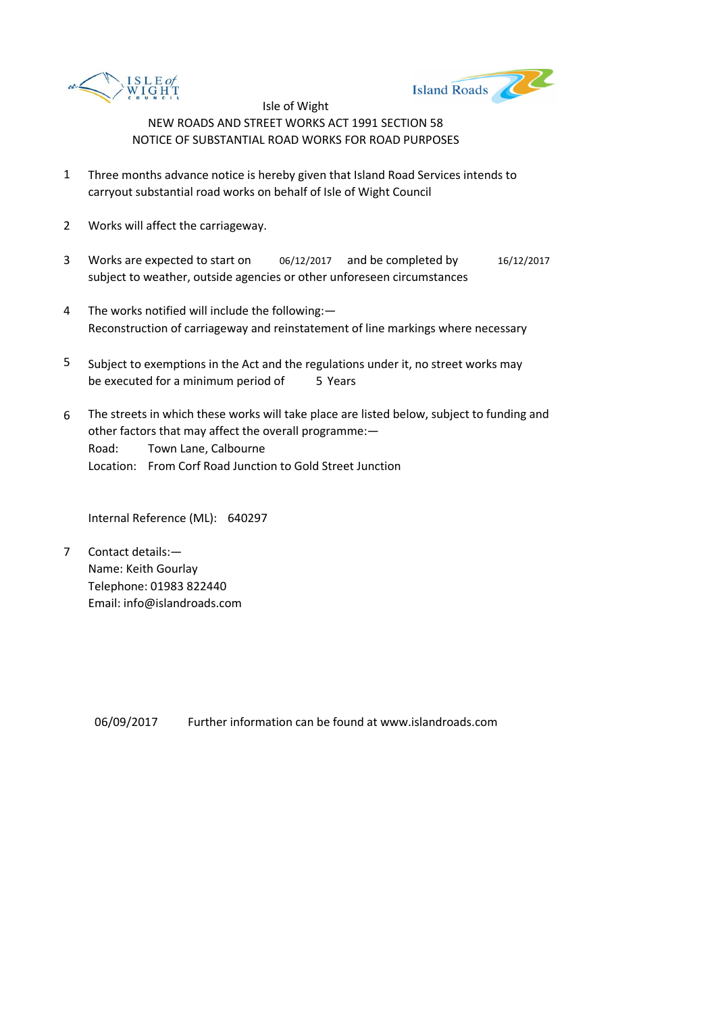



- 1 Three months advance notice is hereby given that Island Road Services intends to carryout substantial road works on behalf of Isle of Wight Council
- 2 Works will affect the carriageway.
- 3 Works are expected to start on 06/12/2017 and be completed by 16/12/2017 subject to weather, outside agencies or other unforeseen circumstances
- 4 The works notified will include the following:— Reconstruction of carriageway and reinstatement of line markings where necessary
- 5 be executed for a minimum period of 5 Years Subject to exemptions in the Act and the regulations under it, no street works may
- 6 Road: Town Lane, Calbourne Location: From Corf Road Junction to Gold Street Junction The streets in which these works will take place are listed below, subject to funding and other factors that may affect the overall programme:—

Internal Reference (ML): 640297

7 Contact details:— Name: Keith Gourlay Telephone: 01983 822440 Email: info@islandroads.com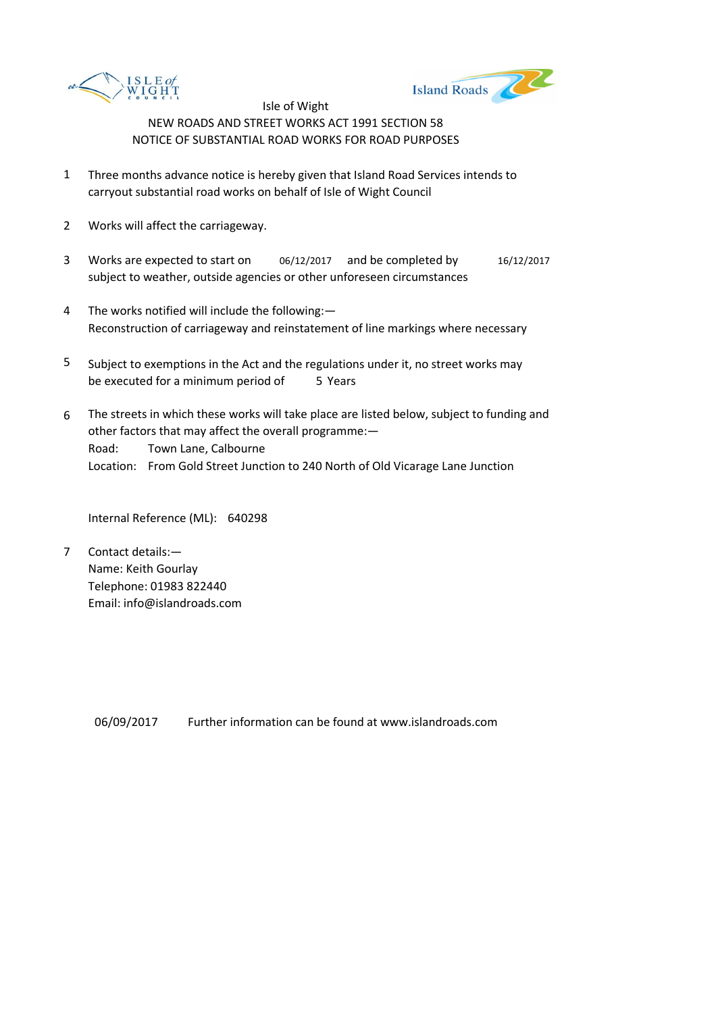



- 1 Three months advance notice is hereby given that Island Road Services intends to carryout substantial road works on behalf of Isle of Wight Council
- 2 Works will affect the carriageway.
- 3 Works are expected to start on 06/12/2017 and be completed by 16/12/2017 subject to weather, outside agencies or other unforeseen circumstances
- 4 The works notified will include the following:— Reconstruction of carriageway and reinstatement of line markings where necessary
- 5 be executed for a minimum period of 5 Years Subject to exemptions in the Act and the regulations under it, no street works may
- 6 Road: Town Lane, Calbourne Location: From Gold Street Junction to 240 North of Old Vicarage Lane Junction The streets in which these works will take place are listed below, subject to funding and other factors that may affect the overall programme:—

Internal Reference (ML): 640298

7 Contact details:— Name: Keith Gourlay Telephone: 01983 822440 Email: info@islandroads.com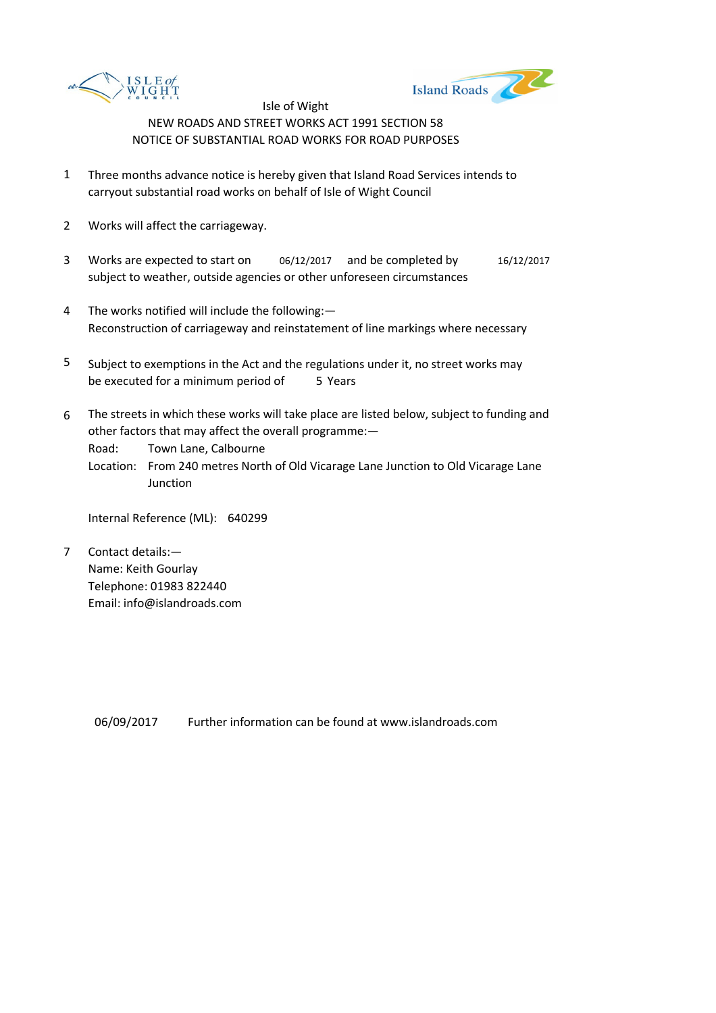



- 1 Three months advance notice is hereby given that Island Road Services intends to carryout substantial road works on behalf of Isle of Wight Council
- 2 Works will affect the carriageway.
- 3 Works are expected to start on 06/12/2017 and be completed by 16/12/2017 subject to weather, outside agencies or other unforeseen circumstances
- 4 The works notified will include the following:— Reconstruction of carriageway and reinstatement of line markings where necessary
- 5 be executed for a minimum period of 5 Years Subject to exemptions in the Act and the regulations under it, no street works may
- 6 The streets in which these works will take place are listed below, subject to funding and other factors that may affect the overall programme:—

Road: Town Lane, Calbourne

Location: From 240 metres North of Old Vicarage Lane Junction to Old Vicarage Lane **Junction** 

Internal Reference (ML): 640299

7 Contact details:— Name: Keith Gourlay Telephone: 01983 822440 Email: info@islandroads.com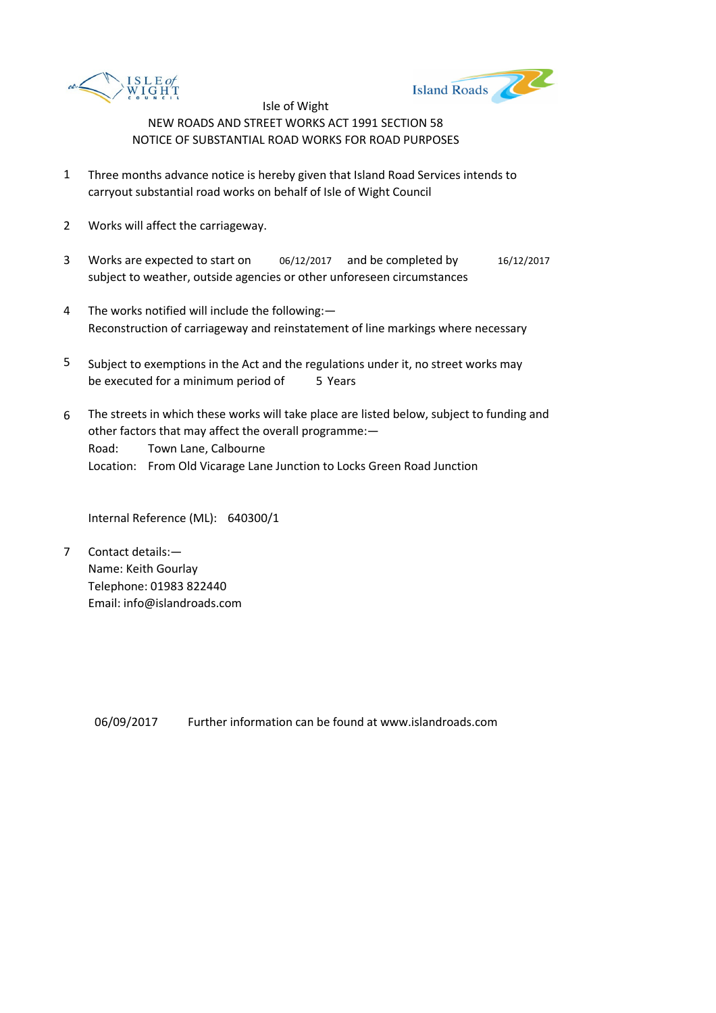



- 1 Three months advance notice is hereby given that Island Road Services intends to carryout substantial road works on behalf of Isle of Wight Council
- 2 Works will affect the carriageway.
- 3 Works are expected to start on 06/12/2017 and be completed by 16/12/2017 subject to weather, outside agencies or other unforeseen circumstances
- 4 The works notified will include the following:— Reconstruction of carriageway and reinstatement of line markings where necessary
- 5 be executed for a minimum period of 5 Years Subject to exemptions in the Act and the regulations under it, no street works may
- 6 Road: Town Lane, Calbourne Location: From Old Vicarage Lane Junction to Locks Green Road Junction The streets in which these works will take place are listed below, subject to funding and other factors that may affect the overall programme:—

Internal Reference (ML): 640300/1

7 Contact details:— Name: Keith Gourlay Telephone: 01983 822440 Email: info@islandroads.com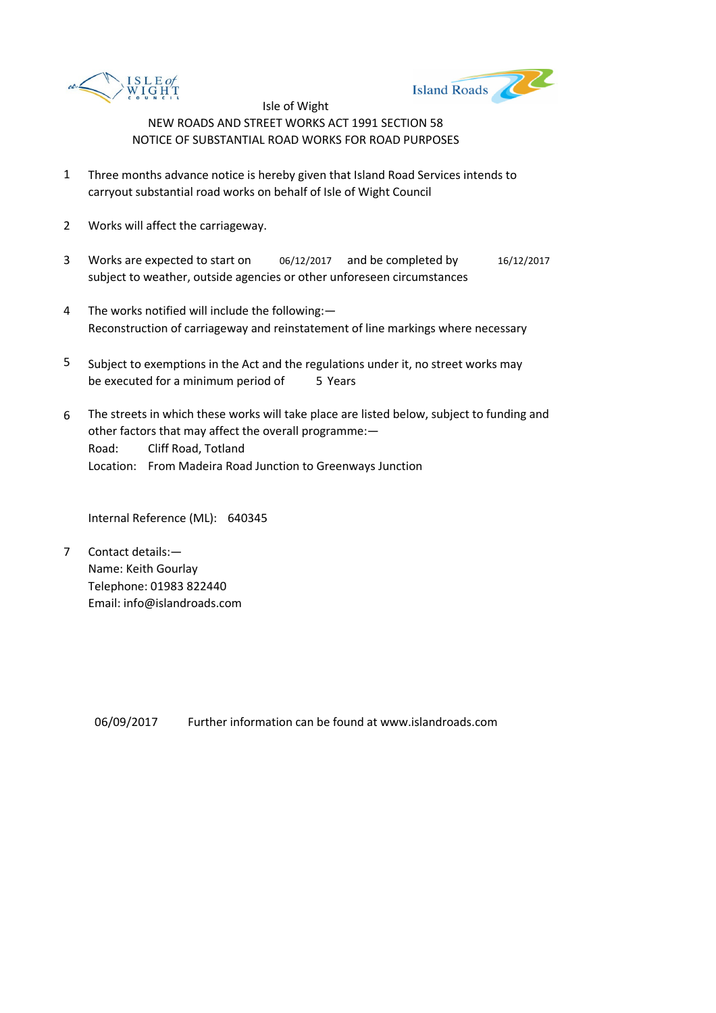



- 1 Three months advance notice is hereby given that Island Road Services intends to carryout substantial road works on behalf of Isle of Wight Council
- 2 Works will affect the carriageway.
- 3 Works are expected to start on 06/12/2017 and be completed by 16/12/2017 subject to weather, outside agencies or other unforeseen circumstances
- 4 The works notified will include the following:— Reconstruction of carriageway and reinstatement of line markings where necessary
- 5 be executed for a minimum period of 5 Years Subject to exemptions in the Act and the regulations under it, no street works may
- 6 Road: Cliff Road, Totland Location: From Madeira Road Junction to Greenways Junction The streets in which these works will take place are listed below, subject to funding and other factors that may affect the overall programme:—

Internal Reference (ML): 640345

7 Contact details:— Name: Keith Gourlay Telephone: 01983 822440 Email: info@islandroads.com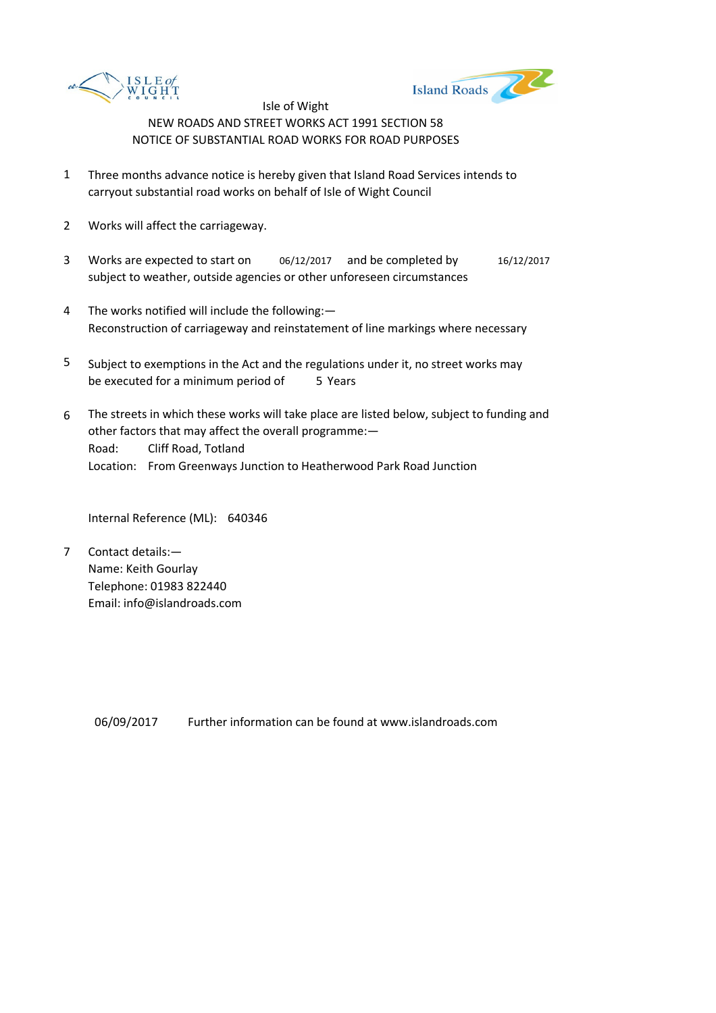



- 1 Three months advance notice is hereby given that Island Road Services intends to carryout substantial road works on behalf of Isle of Wight Council
- 2 Works will affect the carriageway.
- 3 Works are expected to start on 06/12/2017 and be completed by 16/12/2017 subject to weather, outside agencies or other unforeseen circumstances
- 4 The works notified will include the following:— Reconstruction of carriageway and reinstatement of line markings where necessary
- 5 be executed for a minimum period of 5 Years Subject to exemptions in the Act and the regulations under it, no street works may
- 6 Road: Cliff Road, Totland Location: From Greenways Junction to Heatherwood Park Road Junction The streets in which these works will take place are listed below, subject to funding and other factors that may affect the overall programme:—

Internal Reference (ML): 640346

7 Contact details:— Name: Keith Gourlay Telephone: 01983 822440 Email: info@islandroads.com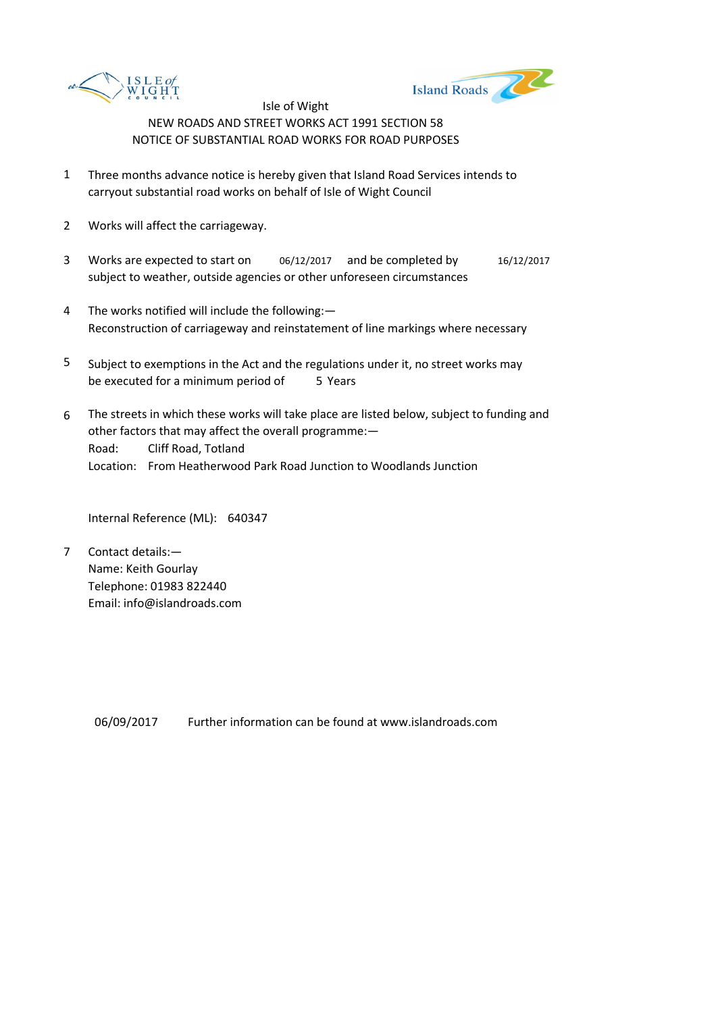



- 1 Three months advance notice is hereby given that Island Road Services intends to carryout substantial road works on behalf of Isle of Wight Council
- 2 Works will affect the carriageway.
- 3 Works are expected to start on 06/12/2017 and be completed by 16/12/2017 subject to weather, outside agencies or other unforeseen circumstances
- 4 The works notified will include the following:— Reconstruction of carriageway and reinstatement of line markings where necessary
- 5 be executed for a minimum period of 5 Years Subject to exemptions in the Act and the regulations under it, no street works may
- 6 Road: Cliff Road, Totland Location: From Heatherwood Park Road Junction to Woodlands Junction The streets in which these works will take place are listed below, subject to funding and other factors that may affect the overall programme:—

Internal Reference (ML): 640347

7 Contact details:— Name: Keith Gourlay Telephone: 01983 822440 Email: info@islandroads.com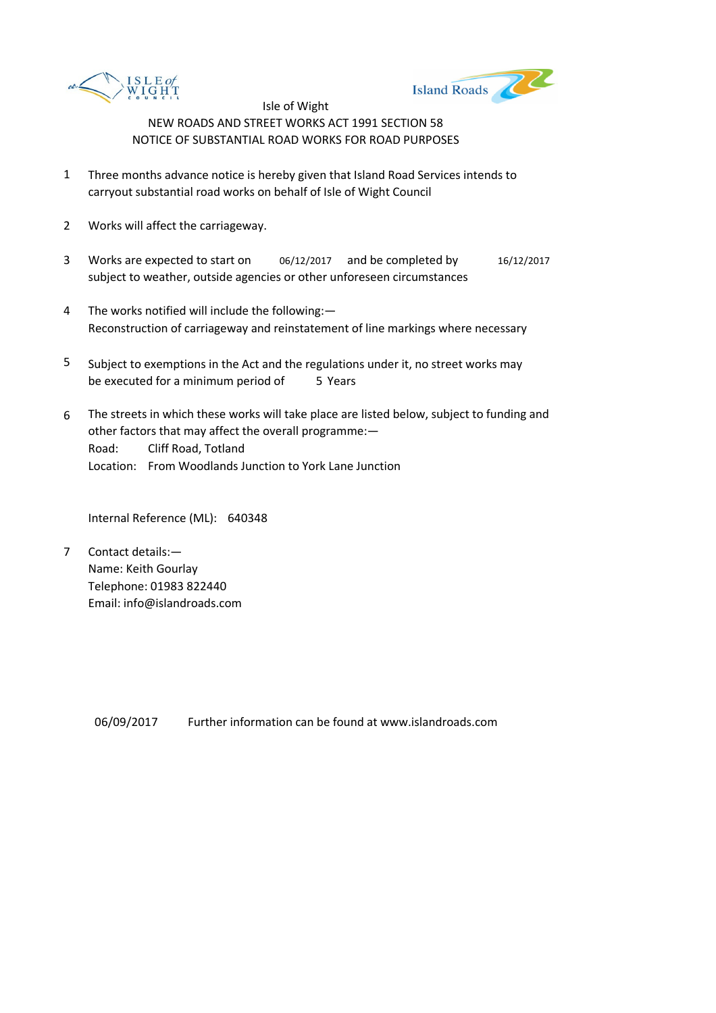



- 1 Three months advance notice is hereby given that Island Road Services intends to carryout substantial road works on behalf of Isle of Wight Council
- 2 Works will affect the carriageway.
- 3 Works are expected to start on 06/12/2017 and be completed by 16/12/2017 subject to weather, outside agencies or other unforeseen circumstances
- 4 The works notified will include the following:— Reconstruction of carriageway and reinstatement of line markings where necessary
- 5 be executed for a minimum period of 5 Years Subject to exemptions in the Act and the regulations under it, no street works may
- 6 Road: Cliff Road, Totland Location: From Woodlands Junction to York Lane Junction The streets in which these works will take place are listed below, subject to funding and other factors that may affect the overall programme:—

Internal Reference (ML): 640348

7 Contact details:— Name: Keith Gourlay Telephone: 01983 822440 Email: info@islandroads.com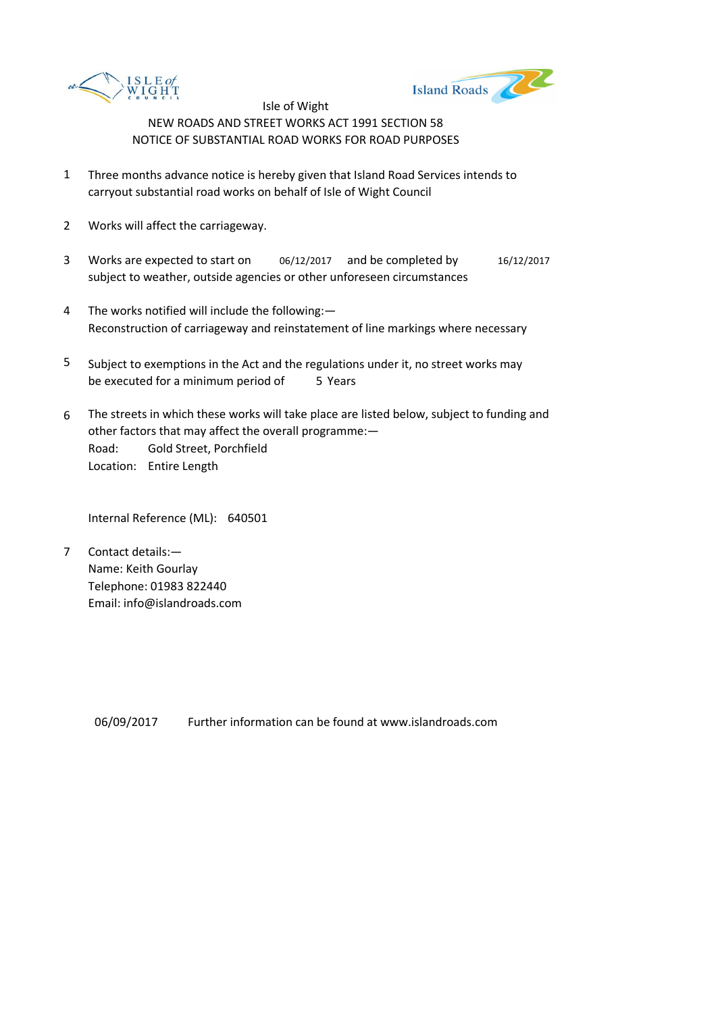



- 1 Three months advance notice is hereby given that Island Road Services intends to carryout substantial road works on behalf of Isle of Wight Council
- 2 Works will affect the carriageway.
- 3 Works are expected to start on 06/12/2017 and be completed by 16/12/2017 subject to weather, outside agencies or other unforeseen circumstances
- 4 The works notified will include the following:— Reconstruction of carriageway and reinstatement of line markings where necessary
- 5 be executed for a minimum period of 5 Years Subject to exemptions in the Act and the regulations under it, no street works may
- 6 Road: Gold Street, Porchfield Location: Entire Length The streets in which these works will take place are listed below, subject to funding and other factors that may affect the overall programme:—

Internal Reference (ML): 640501

7 Contact details:— Name: Keith Gourlay Telephone: 01983 822440 Email: info@islandroads.com